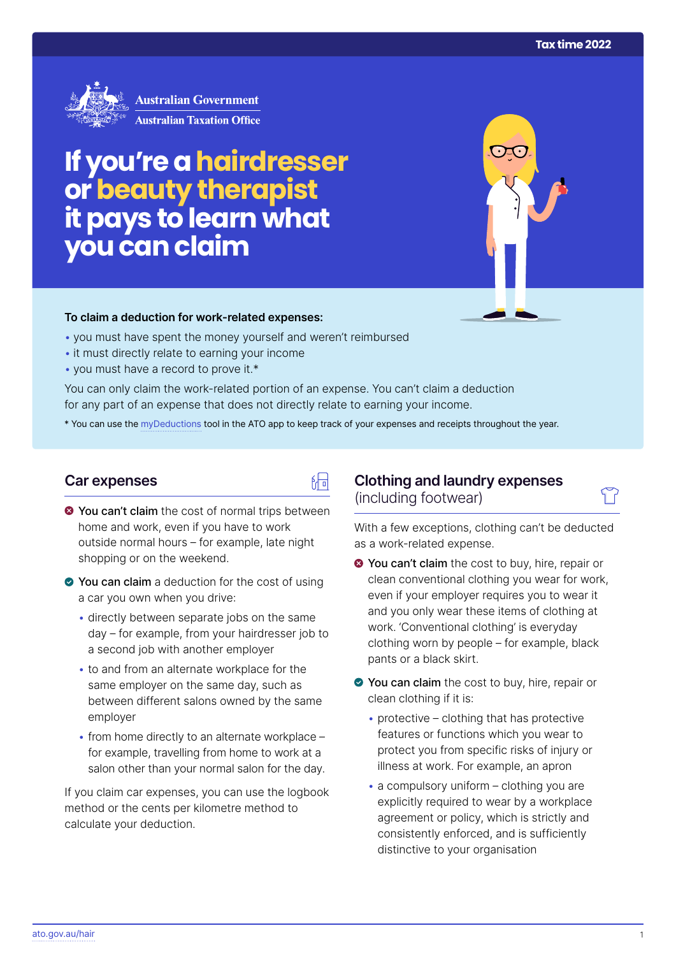

**Australian Government Australian Taxation Office** 

# **If you're a hairdresser or beauty therapist itpays to learn what you can claim**

#### **To claim a deduction for work‑related expenses:**

- you must have spent the money yourself and weren't reimbursed
- it must directly relate to earning your income
- you must have a record to prove it.\*

You can only claim the work-related portion of an expense. You can't claim a deduction for any part of an expense that does not directly relate to earning your income.

\* You can use the [myDeductions](https://ato.gov.au/mydeductions) tool in the ATO app to keep track of your expenses and receipts throughout the year.

品

### **Car expenses**

- $\bullet$  You can't claim the cost of normal trips between home and work, even if you have to work outside normal hours – for example, late night shopping or on the weekend.
- ◆ You can claim a deduction for the cost of using a car you own when you drive:
	- directly between separate jobs on the same day – for example, from your hairdresser job to a second job with another employer
	- to and from an alternate workplace for the same employer on the same day, such as between different salons owned by the same employer
	- from home directly to an alternate workplace for example, travelling from home to work at a salon other than your normal salon for the day.

If you claim car expenses, you can use the logbook method or the cents per kilometre method to calculate your deduction.

# **Clothing and laundry expenses**  (including footwear)

With a few exceptions, clothing can't be deducted as a work-related expense.

- **◆ You can't claim** the cost to buy, hire, repair or clean conventional clothing you wear for work, even if your employer requires you to wear it and you only wear these items of clothing at work. 'Conventional clothing' is everyday clothing worn by people – for example, black pants or a black skirt.
- You can claim the cost to buy, hire, repair or clean clothing if it is:
	- protective clothing that has protective features or functions which you wear to protect you from specific risks of injury or illness at work. For example, an apron
	- a compulsory uniform clothing you are explicitly required to wear by a workplace agreement or policy, which is strictly and consistently enforced, and is sufficiently distinctive to your organisation